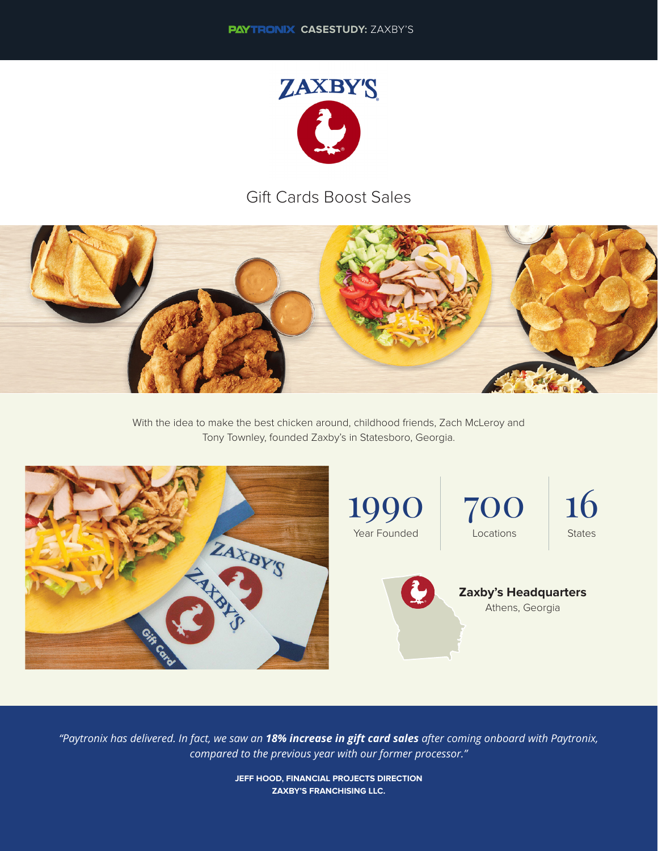

## Gift Cards Boost Sales



With the idea to make the best chicken around, childhood friends, Zach McLeroy and Tony Townley, founded Zaxby's in Statesboro, Georgia.



*"Paytronix has delivered. In fact, we saw an 18% increase in gift card sales after coming onboard with Paytronix, compared to the previous year with our former processor."* 

> **JEFF HOOD, FINANCIAL PROJECTS DIRECTION ZAXBY'S FRANCHISING LLC.**